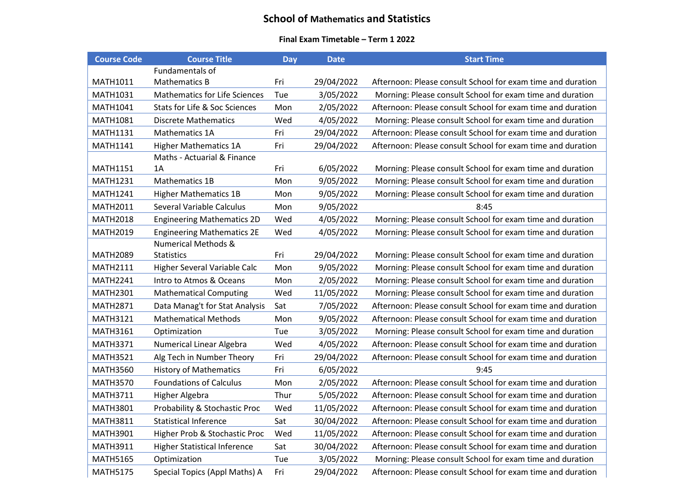## **School of Mathematics and Statistics**

## **Final Exam Timetable – Term 1 2022**

| <b>Course Code</b> | <b>Course Title</b>                  | <b>Day</b> | <b>Date</b> | <b>Start Time</b>                                           |
|--------------------|--------------------------------------|------------|-------------|-------------------------------------------------------------|
|                    | Fundamentals of                      |            |             |                                                             |
| MATH1011           | <b>Mathematics B</b>                 | Fri        | 29/04/2022  | Afternoon: Please consult School for exam time and duration |
| <b>MATH1031</b>    | <b>Mathematics for Life Sciences</b> | Tue        | 3/05/2022   | Morning: Please consult School for exam time and duration   |
| <b>MATH1041</b>    | Stats for Life & Soc Sciences        | Mon        | 2/05/2022   | Afternoon: Please consult School for exam time and duration |
| <b>MATH1081</b>    | <b>Discrete Mathematics</b>          | Wed        | 4/05/2022   | Morning: Please consult School for exam time and duration   |
| <b>MATH1131</b>    | Mathematics 1A                       | Fri        | 29/04/2022  | Afternoon: Please consult School for exam time and duration |
| <b>MATH1141</b>    | <b>Higher Mathematics 1A</b>         | Fri        | 29/04/2022  | Afternoon: Please consult School for exam time and duration |
|                    | Maths - Actuarial & Finance          |            |             |                                                             |
| <b>MATH1151</b>    | 1Α                                   | Fri        | 6/05/2022   | Morning: Please consult School for exam time and duration   |
| <b>MATH1231</b>    | Mathematics 1B                       | Mon        | 9/05/2022   | Morning: Please consult School for exam time and duration   |
| <b>MATH1241</b>    | <b>Higher Mathematics 1B</b>         | Mon        | 9/05/2022   | Morning: Please consult School for exam time and duration   |
| <b>MATH2011</b>    | Several Variable Calculus            | Mon        | 9/05/2022   | 8:45                                                        |
| <b>MATH2018</b>    | <b>Engineering Mathematics 2D</b>    | Wed        | 4/05/2022   | Morning: Please consult School for exam time and duration   |
| <b>MATH2019</b>    | <b>Engineering Mathematics 2E</b>    | Wed        | 4/05/2022   | Morning: Please consult School for exam time and duration   |
|                    | <b>Numerical Methods &amp;</b>       |            |             |                                                             |
| <b>MATH2089</b>    | <b>Statistics</b>                    | Fri        | 29/04/2022  | Morning: Please consult School for exam time and duration   |
| <b>MATH2111</b>    | Higher Several Variable Calc         | Mon        | 9/05/2022   | Morning: Please consult School for exam time and duration   |
| <b>MATH2241</b>    | Intro to Atmos & Oceans              | Mon        | 2/05/2022   | Morning: Please consult School for exam time and duration   |
| <b>MATH2301</b>    | <b>Mathematical Computing</b>        | Wed        | 11/05/2022  | Morning: Please consult School for exam time and duration   |
| <b>MATH2871</b>    | Data Manag't for Stat Analysis       | Sat        | 7/05/2022   | Afternoon: Please consult School for exam time and duration |
| <b>MATH3121</b>    | <b>Mathematical Methods</b>          | Mon        | 9/05/2022   | Afternoon: Please consult School for exam time and duration |
| <b>MATH3161</b>    | Optimization                         | Tue        | 3/05/2022   | Morning: Please consult School for exam time and duration   |
| <b>MATH3371</b>    | <b>Numerical Linear Algebra</b>      | Wed        | 4/05/2022   | Afternoon: Please consult School for exam time and duration |
| <b>MATH3521</b>    | Alg Tech in Number Theory            | Fri        | 29/04/2022  | Afternoon: Please consult School for exam time and duration |
| <b>MATH3560</b>    | <b>History of Mathematics</b>        | Fri        | 6/05/2022   | 9:45                                                        |
| <b>MATH3570</b>    | <b>Foundations of Calculus</b>       | Mon        | 2/05/2022   | Afternoon: Please consult School for exam time and duration |
| <b>MATH3711</b>    | Higher Algebra                       | Thur       | 5/05/2022   | Afternoon: Please consult School for exam time and duration |
| <b>MATH3801</b>    | Probability & Stochastic Proc        | Wed        | 11/05/2022  | Afternoon: Please consult School for exam time and duration |
| <b>MATH3811</b>    | <b>Statistical Inference</b>         | Sat        | 30/04/2022  | Afternoon: Please consult School for exam time and duration |
| <b>MATH3901</b>    | Higher Prob & Stochastic Proc        | Wed        | 11/05/2022  | Afternoon: Please consult School for exam time and duration |
| <b>MATH3911</b>    | <b>Higher Statistical Inference</b>  | Sat        | 30/04/2022  | Afternoon: Please consult School for exam time and duration |
| <b>MATH5165</b>    | Optimization                         | Tue        | 3/05/2022   | Morning: Please consult School for exam time and duration   |
| <b>MATH5175</b>    | Special Topics (Appl Maths) A        | Fri        | 29/04/2022  | Afternoon: Please consult School for exam time and duration |